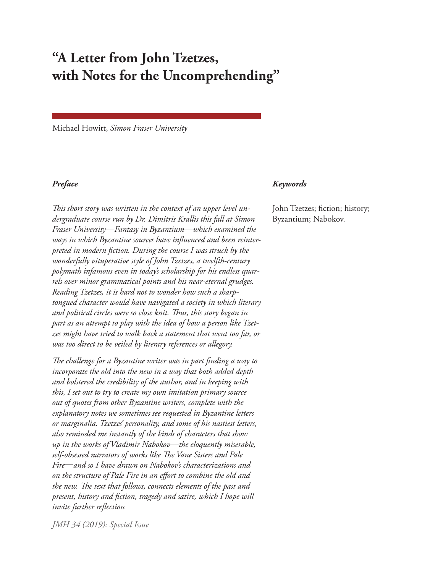# **"A Letter from John Tzetzes, with Notes for the Uncomprehending"**

Michael Howitt, *Simon Fraser University*

*This short story was written in the context of an upper level undergraduate course run by Dr. Dimitris Krallis this fall at Simon Fraser University*—*Fantasy in Byzantium*—*which examined the ways in which Byzantine sources have influenced and been reinterpreted in modern fiction. During the course I was struck by the wonderfully vituperative style of John Tzetzes, a twelfth-century polymath infamous even in today's scholarship for his endless quarrels over minor grammatical points and his near-eternal grudges. Reading Tzetzes, it is hard not to wonder how such a sharptongued character would have navigated a society in which literary and political circles were so close knit. Thus, this story began in part as an attempt to play with the idea of how a person like Tzetzes might have tried to walk back a statement that went too far, or was too direct to be veiled by literary references or allegory.*

*The challenge for a Byzantine writer was in part finding a way to incorporate the old into the new in a way that both added depth and bolstered the credibility of the author, and in keeping with this, I set out to try to create my own imitation primary source out of quotes from other Byzantine writers, complete with the explanatory notes we sometimes see requested in Byzantine letters or marginalia. Tzetzes' personality, and some of his nastiest letters, also reminded me instantly of the kinds of characters that show up in the works of Vladimir Nabokov*—*the eloquently miserable, self-obsessed narrators of works like The Vane Sisters and Pale Fire*—*and so I have drawn on Nabokov's characterizations and on the structure of Pale Fire in an effort to combine the old and the new. The text that follows, connects elements of the past and present, history and fiction, tragedy and satire, which I hope will invite further reflection*

#### *Preface Keywords*

John Tzetzes; fiction; history; Byzantium; Nabokov.

*JMH 34 (2019): Special Issue*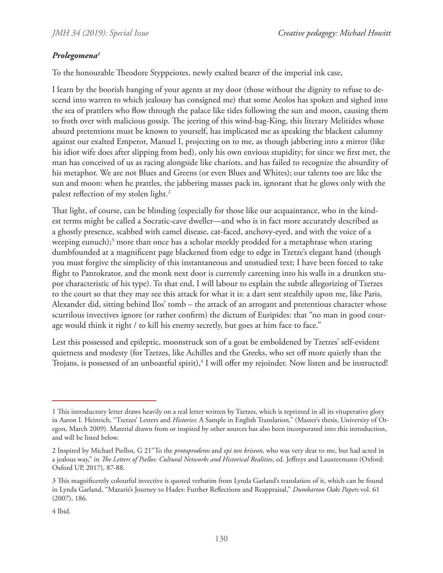## *Prolegomena1*

To the honourable Theodore Styppeiotes, newly exalted bearer of the imperial ink case,

I learn by the boorish banging of your agents at my door (those without the dignity to refuse to descend into warren to which jealousy has consigned me) that some Aeolos has spoken and sighed into the sea of prattlers who flow through the palace like tides following the sun and moon, causing them to froth over with malicious gossip. The jeering of this wind-bag-King, this literary Melitides whose absurd pretentions must be known to yourself, has implicated me as speaking the blackest calumny against our exalted Emperor, Manuel I, projecting on to me, as though jabbering into a mirror (like his idiot wife does after slipping from bed), only his own envious stupidity; for since we first met, the man has conceived of us as racing alongside like chariots, and has failed to recognize the absurdity of his metaphor. We are not Blues and Greens (or even Blues and Whites); our talents too are like the sun and moon: when he prattles, the jabbering masses pack in, ignorant that he glows only with the palest reflection of my stolen light.<sup>2</sup>

That light, of course, can be blinding (especially for those like our acquaintance, who in the kindest terms might be called a Socratic-cave dweller—and who is in fact more accurately described as a ghostly presence, scabbed with camel disease, cat-faced, anchovy-eyed, and with the voice of a weeping eunuch); $3$  more than once has a scholar meekly prodded for a metaphrase when staring dumbfounded at a magnificent page blackened from edge to edge in Tzetze's elegant hand (though you must forgive the simplicity of this instantaneous and unstudied text; I have been forced to take flight to Pantokrator, and the monk next door is currently careening into his walls in a drunken stupor characteristic of his type). To that end, I will labour to explain the subtle allegorizing of Tzetzes to the court so that they may see this attack for what it is: a dart sent stealthily upon me, like Paris, Alexander did, sitting behind Ilos' tomb – the attack of an arrogant and pretentious character whose scurrilous invectives ignore (or rather confirm) the dictum of Euripides: that "no man in good courage would think it right / to kill his enemy secretly, but goes at him face to face."

Lest this possessed and epileptic, moonstruck son of a goat be emboldened by Tzetzes' self-evident quietness and modesty (for Tzetzes, like Achilles and the Greeks, who set off more quietly than the Trojans, is possessed of an unboastful spirit), $^4$  I will offer my rejoinder. Now listen and be instructed!

<sup>1</sup> This introductory letter draws heavily on a real letter written by Tzetzes, which is reprinted in all its vituperative glory in Aaron I. Heinrich, "Tzetzes' Letters and *Histories*: A Sample in English Translation," (Master's thesis, University of Oregon, March 2009). Material drawn from or inspired by other sources has also been incorporated into this introduction, and will be listed below.

<sup>2</sup> Inspired by Michael Psellos, G 21"To the *protoproderos* and *epi ton kriseon*, who was very dear to me, but had acted in a jealous way," in *The Letters of Psellos: Cultural Networks and Historical Realities*, ed. Jeffreys and Lauxtermann (Oxford: Oxford UP, 2017), 87-88.

<sup>3</sup> This magnificently colourful invective is quoted verbatim from Lynda Garland's translation of it, which can be found in Lynda Garland, "Mazaris's Journey to Hades: Further Reflections and Reappraisal," *Dumbarton Oaks Papers* vol. 61 (2007), 186.

<sup>4</sup> Ibid.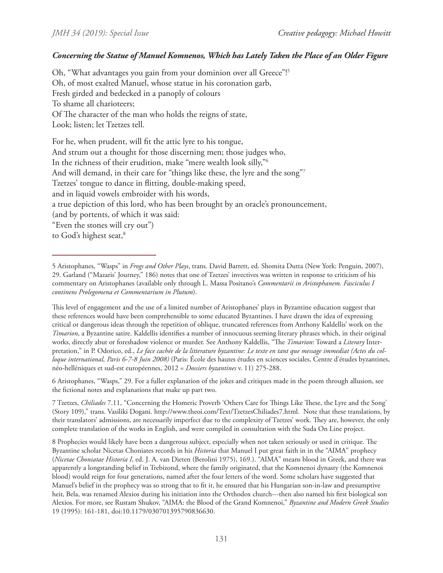### *Concerning the Statue of Manuel Komnenos, Which has Lately Taken the Place of an Older Figure*

Oh, "What advantages you gain from your dominion over all Greece"!5 Oh, of most exalted Manuel, whose statue in his coronation garb, Fresh girded and bedecked in a panoply of colours To shame all charioteers; Of The character of the man who holds the reigns of state, Look; listen; let Tzetzes tell.

For he, when prudent, will fit the attic lyre to his tongue, And strum out a thought for those discerning men; those judges who, In the richness of their erudition, make "mere wealth look silly,"6 And will demand, in their care for "things like these, the lyre and the song"7 Tzetzes' tongue to dance in flitting, double-making speed, and in liquid vowels embroider with his words, a true depiction of this lord, who has been brought by an oracle's pronouncement, (and by portents, of which it was said: "Even the stones will cry out") to God's highest seat,<sup>8</sup>

6 Aristophanes, "Wasps," 29. For a fuller explanation of the jokes and critiques made in the poem through allusion, see the fictional notes and explanations that make up part two.

7 Tzetzes, *Chiliades* 7.11, "Concerning the Homeric Proverb 'Others Care for Things Like These, the Lyre and the Song' (Story 109)," trans. Vasiliki Dogani. http://www.theoi.com/Text/TzetzesChiliades7.html. Note that these translations, by their translators' admissions, are necessarily imperfect due to the complexity of Tzetzes' work. They are, however, the only complete translation of the works in English, and were compiled in consultation with the Suda On Line project.

8 Prophecies would likely have been a dangerous subject, especially when not taken seriously or used in critique. The Byzantine scholar Nicetas Choniates records in his *Historia* that Manuel I put great faith in in the "AIMA" prophecy (*Nicetae Choniatae Historia I*, ed. J. A. van Dieten (Berolini 1975), 169.). "AIMA" means blood in Greek, and there was apparently a longstanding belief in Trebizond, where the family originated, that the Komnenoi dynasty (the Komnenoi blood) would reign for four generations, named after the four letters of the word. Some scholars have suggested that Manuel's belief in the prophecy was so strong that to fit it, he ensured that his Hungarian son-in-law and presumptive heir, Bela, was renamed Alexios during his initiation into the Orthodox church---then also named his first biological son Alexios. For more, see Rustam Shukov, "AIMA: the Blood of the Grand Komnenoi," *Byzantine and Modern Greek Studies* 19 (1995): 161-181, doi:10.1179/030701395790836630.

<sup>5</sup> Aristophanes, "Wasps" in *Frogs and Other Plays*, trans. David Barrett, ed. Shomita Dutta (New York: Penguin, 2007), 29. Garland ("Mazaris' Journey," 186) notes that one of Tzetzes' invectives was written in response to criticism of his commentary on Aristophanes (available only through L. Massa Positano's *Commentarii in Aristophanem. Fasciculus I continens Prolegomena et Commentarium in Plutum*).

This level of engagement and the use of a limited number of Aristophanes' plays in Byzantine education suggest that these references would have been comprehensible to some educated Byzantines. I have drawn the idea of expressing critical or dangerous ideas through the repetition of oblique, truncated references from Anthony Kaldellis' work on the *Timarion*, a Byzantine satire. Kaldellis identifies a number of innocuous seeming literary phrases which, in their original works, directly abut or foreshadow violence or murder. See Anthony Kaldellis, "The *Timarion*: Toward a *Literary* Interpretation," in P. Odorico, ed., *Le face cachée de la litterature byzantine: Le texte en tant que message immediat (Actes du colloque international, Paris 6-7-8 Juin 2008)* (Paris: École des hautes études en sciences sociales, Centre d'études byzantines, néo-helléniques et sud-est européennes, 2012 = *Dossiers byzantines* v. 11) 275-288.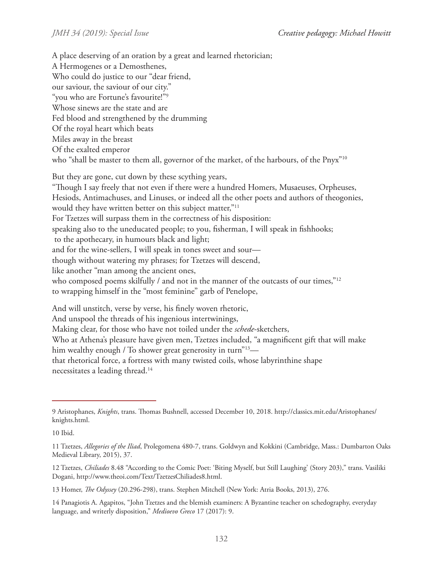A place deserving of an oration by a great and learned rhetorician; A Hermogenes or a Demosthenes, Who could do justice to our "dear friend, our saviour, the saviour of our city." "you who are Fortune's favourite!"9 Whose sinews are the state and are Fed blood and strengthened by the drumming Of the royal heart which beats Miles away in the breast Of the exalted emperor who "shall be master to them all, governor of the market, of the harbours, of the Pnyx"<sup>10</sup> But they are gone, cut down by these scything years, "Though I say freely that not even if there were a hundred Homers, Musaeuses, Orpheuses, Hesiods, Antimachuses, and Linuses, or indeed all the other poets and authors of theogonies, would they have written better on this subject matter,"<sup>11</sup> For Tzetzes will surpass them in the correctness of his disposition: speaking also to the uneducated people; to you, fisherman, I will speak in fishhooks; to the apothecary, in humours black and light;

and for the wine-sellers, I will speak in tones sweet and sour—

though without watering my phrases; for Tzetzes will descend,

like another "man among the ancient ones,

who composed poems skilfully / and not in the manner of the outcasts of our times,"<sup>12</sup>

to wrapping himself in the "most feminine" garb of Penelope,

And will unstitch, verse by verse, his finely woven rhetoric,

And unspool the threads of his ingenious intertwinings,

Making clear, for those who have not toiled under the *schede*-sketchers,

Who at Athena's pleasure have given men, Tzetzes included, "a magnificent gift that will make him wealthy enough / To shower great generosity in turn<sup>"13</sup>—

that rhetorical force, a fortress with many twisted coils, whose labyrinthine shape necessitates a leading thread.14

<sup>9</sup> Aristophanes, *Knights*, trans. Thomas Bushnell, accessed December 10, 2018. http://classics.mit.edu/Aristophanes/ knights.html.

<sup>10</sup> Ibid.

<sup>11</sup> Tzetzes, *Allegories of the Iliad*, Prolegomena 480-7, trans. Goldwyn and Kokkini (Cambridge, Mass.: Dumbarton Oaks Medieval Library, 2015), 37.

<sup>12</sup> Tzetzes, *Chiliades* 8.48 "According to the Comic Poet: 'Biting Myself, but Still Laughing' (Story 203)," trans. Vasiliki Dogani, http://www.theoi.com/Text/TzetzesChiliades8.html.

<sup>13</sup> Homer, *The Odyssey* (20.296-298), trans. Stephen Mitchell (New York: Atria Books, 2013), 276.

<sup>14</sup> Panagiotis A. Agapitos, "John Tzetzes and the blemish examiners: A Byzantine teacher on schedography, everyday language, and writerly disposition," *Medioevo Greco* 17 (2017): 9.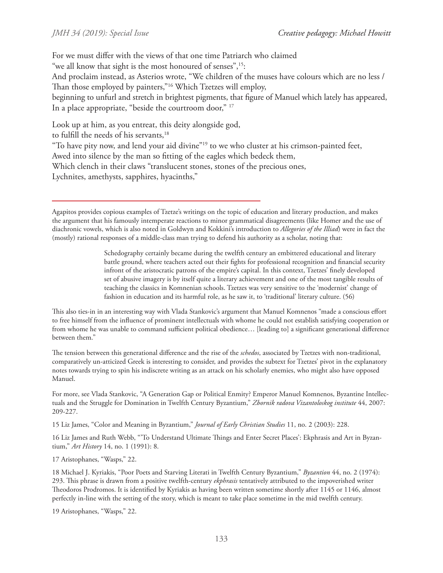For we must differ with the views of that one time Patriarch who claimed

"we all know that sight is the most honoured of senses",<sup>15</sup>:

And proclaim instead, as Asterios wrote, "We children of the muses have colours which are no less / Than those employed by painters,"<sup>16</sup> Which Tzetzes will employ,

beginning to unfurl and stretch in brightest pigments, that figure of Manuel which lately has appeared, In a place appropriate, "beside the courtroom door," 17

Look up at him, as you entreat, this deity alongside god,

to fulfill the needs of his servants,<sup>18</sup>

"To have pity now, and lend your aid divine"19 to we who cluster at his crimson-painted feet,

Awed into silence by the man so fitting of the eagles which bedeck them,

Which clench in their claws "translucent stones, stones of the precious ones,

Lychnites, amethysts, sapphires, hyacinths,"

Schedography certainly became during the twelfth century an embittered educational and literary battle ground, where teachers acted out their fights for professional recognition and financial security infront of the aristocratic patrons of the empire's capital. In this context, Tzetzes' finely developed set of abusive imagery is by itself quite a literary achievement and one of the most tangible results of teaching the classics in Komnenian schools. Tzetzes was very sensitive to the 'modernist' change of fashion in education and its harmful role, as he saw it, to 'traditional' literary culture. (56)

This also ties-in in an interesting way with Vlada Stankovic's argument that Manuel Komnenos "made a conscious effort to free himself from the influence of prominent intellectuals with whome he could not establish satisfying cooperation or from whome he was unable to command sufficient political obedience… [leading to] a significant generational difference between them."

The tension between this generational difference and the rise of the *schedos*, associated by Tzetzes with non-traditional, comparatively un-atticized Greek is interesting to consider, and provides the subtext for Tzetzes' pivot in the explanatory notes towards trying to spin his indiscrete writing as an attack on his scholarly enemies, who might also have opposed Manuel.

For more, see Vlada Stankovic, "A Generation Gap or Political Enmity? Emperor Manuel Komnenos, Byzantine Intellectuals and the Struggle for Domination in Twelfth Century Byzantium," *Zbornik radova Vizantoloskog institute* 44, 2007: 209-227.

15 Liz James, "Color and Meaning in Byzantium," *Journal of Early Christian Studies* 11, no. 2 (2003): 228.

16 Liz James and Ruth Webb, "'To Understand Ultimate Things and Enter Secret Places': Ekphrasis and Art in Byzantium," *Art History* 14, no. 1 (1991): 8.

17 Aristophanes, "Wasps," 22.

18 Michael J. Kyriakis, "Poor Poets and Starving Literati in Twelfth Century Byzantium," *Byzantion* 44, no. 2 (1974): 293. This phrase is drawn from a positive twelfth-century *ekphrasis* tentatively attributed to the impoverished writer Theodoros Prodromos. It is identified by Kyriakis as having been written sometime shortly after 1145 or 1146, almost perfectly in-line with the setting of the story, which is meant to take place sometime in the mid twelfth century.

19 Aristophanes, "Wasps," 22.

Agapitos provides copious examples of Tzetze's writings on the topic of education and literary production, and makes the argument that his famously intemperate reactions to minor grammatical disagreements (like Homer and the use of diachronic vowels, which is also noted in Goldwyn and Kokkini's introduction to *Allegories of the Illiad*) were in fact the (mostly) rational responses of a middle-class man trying to defend his authority as a scholar, noting that: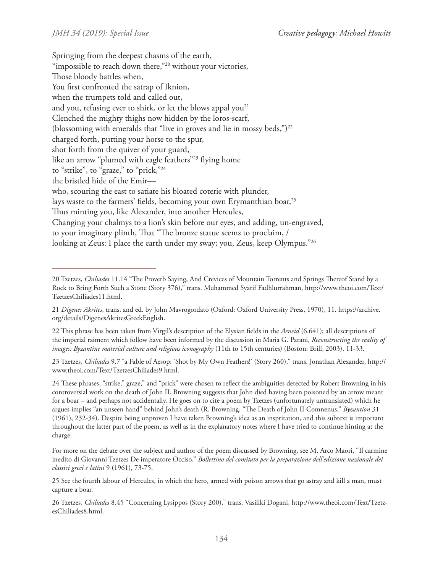Springing from the deepest chasms of the earth, "impossible to reach down there,"<sup>20</sup> without your victories, Those bloody battles when, You first confronted the satrap of Iknion, when the trumpets told and called out, and you, refusing ever to shirk, or let the blows appal you<sup>21</sup> Clenched the mighty thighs now hidden by the loros-scarf, (blossoming with emeralds that "live in groves and lie in mossy beds,")<sup>22</sup> charged forth, putting your horse to the spur, shot forth from the quiver of your guard, like an arrow "plumed with eagle feathers"<sup>23</sup> flying home to "strike", to "graze," to "prick,"24 the bristled hide of the Emir who, scouring the east to satiate his bloated coterie with plunder, lays waste to the farmers' fields, becoming your own Erymanthian boar,<sup>25</sup> Thus minting you, like Alexander, into another Hercules, Changing your chalmys to a lion's skin before our eyes, and adding, un-engraved, to your imaginary plinth, That "The bronze statue seems to proclaim, / looking at Zeus: I place the earth under my sway; you, Zeus, keep Olympus."<sup>26</sup>

22 This phrase has been taken from Virgil's description of the Elysian fields in the *Aeneid* (6.641); all descriptions of the imperial raiment which follow have been informed by the discussion in Maria G. Parani, *Reconstructing the reality of images: Byzantine material culture and religious iconography* (11th to 15th centuries) (Boston: Brill, 2003), 11-33.

23 Tzetzes, *Chiliades* 9.7 "a Fable of Aesop: 'Shot by My Own Feathers!' (Story 260)," trans. Jonathan Alexander, http:// www.theoi.com/Text/TzetzesChiliades9.html.

24 These phrases, "strike," graze," and "prick" were chosen to reflect the ambiguities detected by Robert Browning in his controversial work on the death of John II. Browning suggests that John died having been poisoned by an arrow meant for a boar – and perhaps not accidentally. He goes on to cite a poem by Tzetzes (unfortunately untranslated) which he argues implies "an unseen hand" behind John's death (R. Browning, "The Death of John II Comnenus," *Byzantion* 31 (1961), 232-34). Despite being unproven I have taken Browning's idea as an inspritation, and this subtext is important throughout the latter part of the poem, as well as in the explanatory notes where I have tried to continue hinting at the charge.

For more on the debate over the subject and author of the poem discussed by Browning, see M. Arco Maori, "Il carmine inedito di Giovanni Tzetzes De imperatore Occiso," *Bollettino del comitato per la preparazione dell'edizione nazionale dei classici greci e latini* 9 (1961), 73-75.

25 See the fourth labour of Hercules, in which the hero, armed with poison arrows that go astray and kill a man, must capture a boar.

26 Tzetzes, *Chiliades* 8.45 "Concerning Lysippos (Story 200)," trans. Vasiliki Dogani, http://www.theoi.com/Text/TzetzesChiliades8.html.

<sup>20</sup> Tzetzes, *Chiliades* 11.14 "The Proverb Saying, And Crevices of Mountain Torrents and Springs Thereof Stand by a Rock to Bring Forth Such a Stone (Story 376)," trans. Muhammed Syarif Fadhlurrahman, http://www.theoi.com/Text/ TzetzesChiliades11.html.

<sup>21</sup> *Digenes Akrites*, trans. and ed. by John Mavrogordato (Oxford: Oxford University Press, 1970), 11. https://archive. org/details/DigenesAkritesGreekEnglish.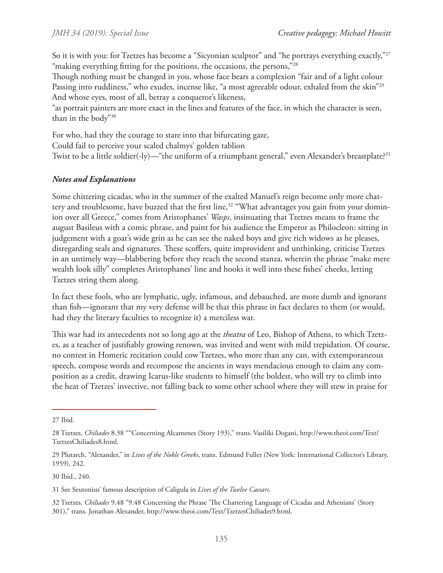So it is with you: for Tzetzes has become a "Sicyonian sculptor" and "he portrays everything exactly,"27 "making everything fitting for the positions, the occasions, the persons,"28

Though nothing must be changed in you, whose face bears a complexion "fair and of a light colour Passing into ruddiness," who exudes, incense like, "a most agreeable odour, exhaled from the skin"<sup>29</sup> And whose eyes, most of all, betray a conqueror's likeness,

"as portrait painters are more exact in the lines and features of the face, in which the character is seen, than in the body"30

For who, had they the courage to stare into that bifurcating gaze,

Could fail to perceive your scaled chalmys' golden tablion

Twist to be a little soldier(-ly)—"the uniform of a triumphant general," even Alexander's breastplate?<sup>31</sup>

#### *Notes and Explanations*

Some chittering cicadas, who in the summer of the exalted Manuel's reign become only more chattery and troublesome, have buzzed that the first line,<sup>32</sup> "What advantages you gain from your dominion over all Greece," comes from Aristophanes' *Wasps*, insinuating that Tzetzes means to frame the august Basileus with a comic phrase, and paint for his audience the Emperor as Philocleon: sitting in judgement with a goat's wide grin as he can see the naked boys and give rich widows as he pleases, disregarding seals and signatures. These scoffers, quite improvident and unthinking, criticise Tzetzes in an untimely way—blabbering before they reach the second stanza, wherein the phrase "make mere wealth look silly" completes Aristophanes' line and hooks it well into these fishes' cheeks, letting Tzetzes string them along.

In fact these fools, who are lymphatic, ugly, infamous, and debauched, are more dumb and ignorant than fish—ignorant that my very defense will be that this phrase in fact declares to them (or would, had they the literary faculties to recognize it) a merciless war.

This war had its antecedents not so long ago at the *theatra* of Leo, Bishop of Athens, to which Tzetzes, as a teacher of justifiably growing renown, was invited and went with mild trepidation. Of course, no contest in Homeric recitation could cow Tzetzes, who more than any can, with extemporaneous speech, compose words and recompose the ancients in ways mendacious enough to claim any composition as a credit, drawing Icarus-like students to himself (the boldest, who will try to climb into the heat of Tzetzes' invective, not falling back to some other school where they will stew in praise for

30 Ibid., 240.

31 See Seutonius' famous description of Caligula in *Lives of the Twelve Caesars*.

32 Tzetzes, *Chiliades* 9.48 "9.48 Concerning the Phrase 'The Chattering Language of Cicadas and Athenians' (Story 301)," trans. Jonathan Alexander, http://www.theoi.com/Text/TzetzesChiliades9.html.

<sup>27</sup> Ibid.

<sup>28</sup> Tzetzes, *Chiliades* 8.38 ""Concerning Alcamenes (Story 193)," trans. Vasiliki Dogani, http://www.theoi.com/Text/ TzetzesChiliades8.html.

<sup>29</sup> Plutarch, "Alexander," in *Lives of the Noble Greeks*, trans. Edmund Fuller (New York: International Collector's Library, 1959), 242.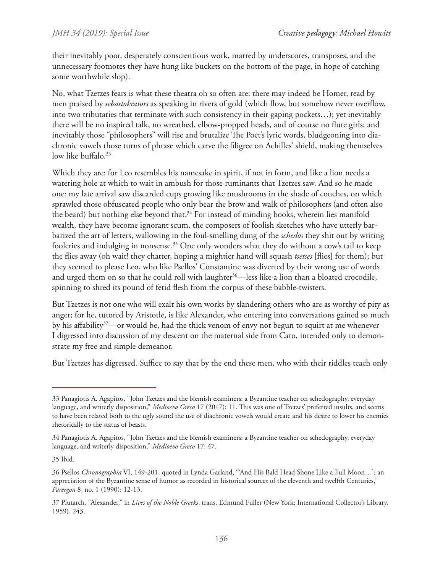their inevitably poor, desperately conscientious work, marred by underscores, transposes, and the unnecessary footnotes they have hung like buckets on the bottom of the page, in hope of catching some worthwhile slop).

No, what Tzetzes fears is what these theatra oh so often are: there may indeed be Homer, read by men praised by *sebastokrators* as speaking in rivers of gold (which flow, but somehow never overflow, into two tributaries that terminate with such consistency in their gaping pockets…); yet inevitably there will be no inspired talk, no wreathed, elbow-propped heads, and of course no flute girls; and inevitably those "philosophers" will rise and brutalize The Poet's lyric words, bludgeoning into diachronic vowels those turns of phrase which carve the filigree on Achilles' shield, making themselves low like buffalo.<sup>33</sup>

Which they are: for Leo resembles his namesake in spirit, if not in form, and like a lion needs a watering hole at which to wait in ambush for those ruminants that Tzetzes saw. And so he made one: my late arrival saw discarded cups growing like mushrooms in the shade of couches, on which sprawled those obfuscated people who only bear the brow and walk of philosophers (and often also the beard) but nothing else beyond that.<sup>34</sup> For instead of minding books, wherein lies manifold wealth, they have become ignorant scum, the composers of foolish sketches who have utterly barbarized the art of letters, wallowing in the foul-smelling dung of the *schedos* they shit out by writing fooleries and indulging in nonsense.<sup>35</sup> One only wonders what they do without a cow's tail to keep the flies away (oh wait! they chatter, hoping a mightier hand will squash *tsetses* [flies] for them); but they seemed to please Leo, who like Psellos' Constantine was diverted by their wrong use of words and urged them on so that he could roll with laughter<sup>36</sup>—less like a lion than a bloated crocodile, spinning to shred its pound of fetid flesh from the corpus of these babble-twisters.

But Tzetzes is not one who will exalt his own works by slandering others who are as worthy of pity as anger; for he, tutored by Aristotle, is like Alexander, who entering into conversations gained so much by his affability<sup>37</sup>—or would be, had the thick venom of envy not begun to squirt at me whenever I digressed into discussion of my descent on the maternal side from Cato, intended only to demonstrate my free and simple demeanor.

But Tzetzes has digressed. Suffice to say that by the end these men, who with their riddles teach only

<sup>33</sup> Panagiotis A. Agapitos, "John Tzetzes and the blemish examiners: a Byzantine teacher on schedography, everyday language, and writerly disposition," *Medioevo Greco* 17 (2017): 11. This was one of Tzetzes' preferred insults, and seems to have been related both to the ugly sound the use of diachronic vowels would create and his desire to lower his enemies rhetorically to the status of beasts.

<sup>34</sup> Panagiotis A. Agapitos, "John Tzetzes and the blemish examiners: a Byzantine teacher on schedography, everyday language, and writerly disposition," *Medioevo Greco* 17: 47.

<sup>35</sup> Ibid.

<sup>36</sup> Psellos *Chronographia* VI, 149-201, quoted in Lynda Garland, "'And His Bald Head Shone Like a Full Moon…': an appreciation of the Byzantine sense of humor as recorded in historical sources of the eleventh and twelfth Centuries," *Parergon* 8, no. 1 (1990): 12-13.

<sup>37</sup> Plutarch, "Alexander," in *Lives of the Noble Greeks*, trans. Edmund Fuller (New York: International Collector's Library, 1959), 243.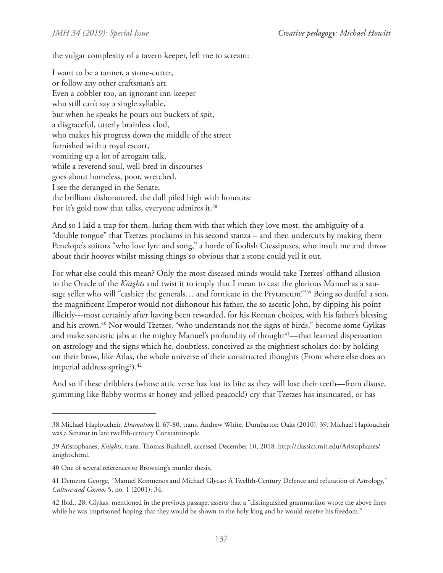the vulgar complexity of a tavern keeper, left me to scream:

I want to be a tanner, a stone-cutter, or follow any other craftsman's art. Even a cobbler too, an ignorant inn-keeper who still can't say a single syllable, but when he speaks he pours out buckets of spit, a disgraceful, utterly brainless clod, who makes his progress down the middle of the street furnished with a royal escort, vomiting up a lot of arrogant talk, while a reverend soul, well-bred in discourses goes about homeless, poor, wretched. I see the deranged in the Senate, the brilliant dishonoured, the dull piled high with honours: For it's gold now that talks, everyone admires it.<sup>38</sup>

And so I laid a trap for them, luring them with that which they love most, the ambiguity of a "double tongue" that Tzetzes proclaims in his second stanza – and then undercuts by making them Penelope's suitors "who love lyre and song," a horde of foolish Ctessipuses, who insult me and throw about their hooves whilst missing things so obvious that a stone could yell it out.

For what else could this mean? Only the most diseased minds would take Tzetzes' offhand allusion to the Oracle of the *Knights* and twist it to imply that I mean to cast the glorious Manuel as a sausage seller who will "cashier the generals... and fornicate in the Prytaneum!"<sup>39</sup> Being so dutiful a son, the magnificent Emperor would not dishonour his father, the so ascetic John, by dipping his point illicitly---most certainly after having been rewarded, for his Roman choices, with his father's blessing and his crown.<sup>40</sup> Nor would Tzetzes, "who understands not the signs of birds," become some Gylkas and make sarcastic jabs at the mighty Manuel's profundity of thought<sup>41</sup>—that learned dispensation on astrology and the signs which he, doubtless, conceived as the mightiest scholars do: by holding on their brow, like Atlas, the whole universe of their constructed thoughts (From where else does an imperial address spring?).<sup>42</sup>

And so if these dribblers (whose attic verse has lost its bite as they will lose their teeth—from disuse, gumming like flabby worms at honey and jellied peacock!) cry that Tzetzes has insinuated, or has

<sup>38</sup> Michael Haploucheir, *Dramation* ll. 67-80, trans. Andrew White, Dumbarton Oaks (2010), 39. Michael Haploucheir was a Senator in late twelfth-century Constantinople.

<sup>39</sup> Aristophanes, *Knights*, trans. Thomas Bushnell, accessed December 10, 2018. http://classics.mit.edu/Aristophanes/ knights.html.

<sup>40</sup> One of several references to Browning's murder thesis.

<sup>41</sup> Demetra George, "Manuel Komnenos and Michael Glycas: A Twelfth-Century Defence and refutation of Astrology," *Culture and Cosmos* 5, no. 1 (2001): 34.

<sup>42</sup> Ibid., 28. Glykas, mentioned in the previous passage, asserts that a "distinguished grammatikos wrote the above lines while he was imprisoned hoping that they would be shown to the holy king and he would receive his freedom."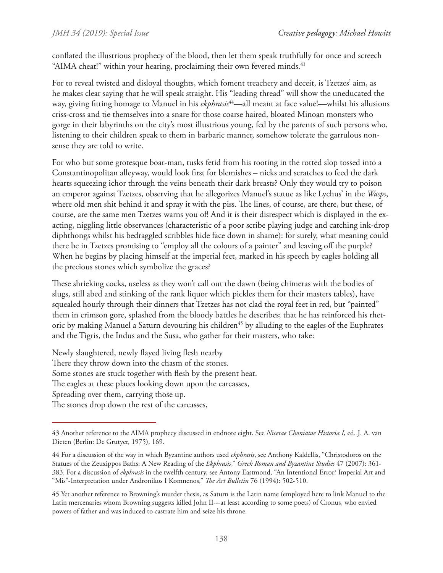conflated the illustrious prophecy of the blood, then let them speak truthfully for once and screech "AIMA cheat!" within your hearing, proclaiming their own fevered minds.<sup>43</sup>

For to reveal twisted and disloyal thoughts, which foment treachery and deceit, is Tzetzes' aim, as he makes clear saying that he will speak straight. His "leading thread" will show the uneducated the way, giving fitting homage to Manuel in his *ekphrasis*<sup>44</sup>—all meant at face value!—whilst his allusions criss-cross and tie themselves into a snare for those coarse haired, bloated Minoan monsters who gorge in their labyrinths on the city's most illustrious young, fed by the parents of such persons who, listening to their children speak to them in barbaric manner, somehow tolerate the garrulous nonsense they are told to write.

For who but some grotesque boar-man, tusks fetid from his rooting in the rotted slop tossed into a Constantinopolitan alleyway, would look first for blemishes – nicks and scratches to feed the dark hearts squeezing ichor through the veins beneath their dark breasts? Only they would try to poison an emperor against Tzetzes, observing that he allegorizes Manuel's statue as like Lychus' in the *Wasps*, where old men shit behind it and spray it with the piss. The lines, of course, are there, but these, of course, are the same men Tzetzes warns you of! And it is their disrespect which is displayed in the exacting, niggling little observances (characteristic of a poor scribe playing judge and catching ink-drop diphthongs whilst his bedraggled scribbles hide face down in shame): for surely, what meaning could there be in Tzetzes promising to "employ all the colours of a painter" and leaving off the purple? When he begins by placing himself at the imperial feet, marked in his speech by eagles holding all the precious stones which symbolize the graces?

These shrieking cocks, useless as they won't call out the dawn (being chimeras with the bodies of slugs, still abed and stinking of the rank liquor which pickles them for their masters tables), have squealed hourly through their dinners that Tzetzes has not clad the royal feet in red, but "painted" them in crimson gore, splashed from the bloody battles he describes; that he has reinforced his rhetoric by making Manuel a Saturn devouring his children<sup>45</sup> by alluding to the eagles of the Euphrates and the Tigris, the Indus and the Susa, who gather for their masters, who take:

Newly slaughtered, newly flayed living flesh nearby There they throw down into the chasm of the stones. Some stones are stuck together with flesh by the present heat. The eagles at these places looking down upon the carcasses, Spreading over them, carrying those up. The stones drop down the rest of the carcasses,

<sup>43</sup> Another reference to the AIMA prophecy discussed in endnote eight. See *Nicetae Choniatae Historia I*, ed. J. A. van Dieten (Berlin: De Grutyer, 1975), 169.

<sup>44</sup> For a discussion of the way in which Byzantine authors used *ekphrasis*, see Anthony Kaldellis, "Christodoros on the Statues of the Zeuxippos Baths: A New Reading of the *Ekphrasis*," *Greek Roman and Byzantine Studies* 47 (2007): 361- 383. For a discussion of *ekphrasis* in the twelfth century, see Antony Eastmond, "An Intentional Error? Imperial Art and "Mis"-Interpretation under Andronikos I Komnenos," *The Art Bulletin* 76 (1994): 502-510.

<sup>45</sup> Yet another reference to Browning's murder thesis, as Saturn is the Latin name (employed here to link Manuel to the Latin mercenaries whom Browning suggests killed John II---at least according to some poets) of Cronus, who envied powers of father and was induced to castrate him and seize his throne.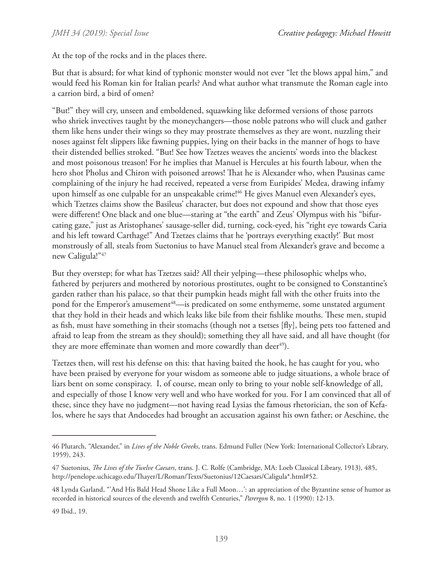At the top of the rocks and in the places there.

But that is absurd; for what kind of typhonic monster would not ever "let the blows appal him," and would feed his Roman kin for Italian pearls? And what author what transmute the Roman eagle into a carrion bird, a bird of omen?

"But!" they will cry, unseen and emboldened, squawking like deformed versions of those parrots who shriek invectives taught by the moneychangers—those noble patrons who will cluck and gather them like hens under their wings so they may prostrate themselves as they are wont, nuzzling their noses against felt slippers like fawning puppies, lying on their backs in the manner of hogs to have their distended bellies stroked. "But! See how Tzetzes weaves the ancients' words into the blackest and most poisonous treason! For he implies that Manuel is Hercules at his fourth labour, when the hero shot Pholus and Chiron with poisoned arrows! That he is Alexander who, when Pausinas came complaining of the injury he had received, repeated a verse from Euripides' Medea, drawing infamy upon himself as one culpable for an unspeakable crime!<sup>46</sup> He gives Manuel even Alexander's eyes, which Tzetzes claims show the Basileus' character, but does not expound and show that those eyes were different! One black and one blue—staring at "the earth" and Zeus' Olympus with his "bifurcating gaze," just as Aristophanes' sausage-seller did, turning, cock-eyed, his "right eye towards Caria and his left toward Carthage!" And Tzetzes claims that he 'portrays everything exactly!' But most monstrously of all, steals from Suetonius to have Manuel steal from Alexander's grave and become a new Caligula!"47

But they overstep; for what has Tzetzes said? All their yelping—these philosophic whelps who, fathered by perjurers and mothered by notorious prostitutes, ought to be consigned to Constantine's garden rather than his palace, so that their pumpkin heads might fall with the other fruits into the pond for the Emperor's amusement<sup>48</sup>—is predicated on some enthymeme, some unstated argument that they hold in their heads and which leaks like bile from their fishlike mouths. These men, stupid as fish, must have something in their stomachs (though not a tsetses [fly], being pets too fattened and afraid to leap from the stream as they should); something they all have said, and all have thought (for they are more effeminate than women and more cowardly than deer<sup>49</sup>).

Tzetzes then, will rest his defense on this: that having baited the hook, he has caught for you, who have been praised by everyone for your wisdom as someone able to judge situations, a whole brace of liars bent on some conspiracy. I, of course, mean only to bring to your noble self-knowledge of all, and especially of those I know very well and who have worked for you. For I am convinced that all of these, since they have no judgment—not having read Lysias the famous rhetorician, the son of Kefalos, where he says that Andocedes had brought an accusation against his own father; or Aeschine, the

<sup>46</sup> Plutarch, "Alexander," in *Lives of the Noble Greeks*, trans. Edmund Fuller (New York: International Collector's Library, 1959), 243.

<sup>47</sup> Suetonius, *The Lives of the Twelve Caesars*, trans. J. C. Rolfe (Cambridge, MA: Loeb Classical Library, 1913), 485, http://penelope.uchicago.edu/Thayer/L/Roman/Texts/Suetonius/12Caesars/Caligula\*.html#52.

<sup>48</sup> Lynda Garland, "'And His Bald Head Shone Like a Full Moon…': an appreciation of the Byzantine sense of humor as recorded in historical sources of the eleventh and twelfth Centuries," *Parergon* 8, no. 1 (1990): 12-13.

<sup>49</sup> Ibid., 19.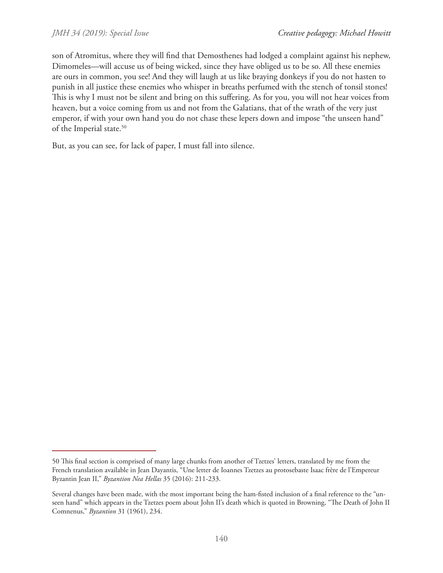son of Atromitus, where they will find that Demosthenes had lodged a complaint against his nephew, Dimomeles—will accuse us of being wicked, since they have obliged us to be so. All these enemies are ours in common, you see! And they will laugh at us like braying donkeys if you do not hasten to punish in all justice these enemies who whisper in breaths perfumed with the stench of tonsil stones! This is why I must not be silent and bring on this suffering. As for you, you will not hear voices from heaven, but a voice coming from us and not from the Galatians, that of the wrath of the very just emperor, if with your own hand you do not chase these lepers down and impose "the unseen hand" of the Imperial state.<sup>50</sup>

But, as you can see, for lack of paper, I must fall into silence.

<sup>50</sup> This final section is comprised of many large chunks from another of Tzetzes' letters, translated by me from the French translation available in Jean Dayantis, "Une letter de Ioannes Tzetzes au protosebaste Isaac frère de l'Empereur Byzantin Jean II," *Byzantion Nea Hellas* 35 (2016): 211-233.

Several changes have been made, with the most important being the ham-fisted inclusion of a final reference to the "unseen hand" which appears in the Tzetzes poem about John II's death which is quoted in Browning, "The Death of John II Comnenus," *Byzantion* 31 (1961), 234.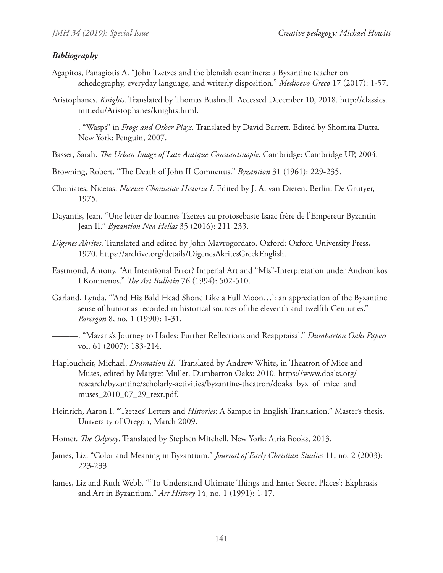#### *Bibliography*

- Agapitos, Panagiotis A. "John Tzetzes and the blemish examiners: a Byzantine teacher on schedography, everyday language, and writerly disposition." *Medioevo Greco* 17 (2017): 1-57.
- Aristophanes. *Knights*. Translated by Thomas Bushnell. Accessed December 10, 2018. http://classics. mit.edu/Aristophanes/knights.html.

———. "Wasps" in *Frogs and Other Plays*. Translated by David Barrett. Edited by Shomita Dutta. New York: Penguin, 2007.

- Basset, Sarah. *The Urban Image of Late Antique Constantinople*. Cambridge: Cambridge UP, 2004.
- Browning, Robert. "The Death of John II Comnenus." *Byzantion* 31 (1961): 229-235.
- Choniates, Nicetas. *Nicetae Choniatae Historia I*. Edited by J. A. van Dieten. Berlin: De Grutyer, 1975.
- Dayantis, Jean. "Une letter de Ioannes Tzetzes au protosebaste Isaac frère de l'Empereur Byzantin Jean II." *Byzantion Nea Hellas* 35 (2016): 211-233.
- *Digenes Akrites*. Translated and edited by John Mavrogordato. Oxford: Oxford University Press, 1970. https://archive.org/details/DigenesAkritesGreekEnglish.
- Eastmond, Antony. "An Intentional Error? Imperial Art and "Mis"-Interpretation under Andronikos I Komnenos." *The Art Bulletin* 76 (1994): 502-510.
- Garland, Lynda. "'And His Bald Head Shone Like a Full Moon…': an appreciation of the Byzantine sense of humor as recorded in historical sources of the eleventh and twelfth Centuries." *Parergon* 8, no. 1 (1990): 1-31.
- ———. "Mazaris's Journey to Hades: Further Reflections and Reappraisal." *Dumbarton Oaks Papers* vol. 61 (2007): 183-214.
- Haploucheir, Michael. *Dramation II*. Translated by Andrew White, in Theatron of Mice and Muses, edited by Margret Mullet. Dumbarton Oaks: 2010. https://www.doaks.org/ research/byzantine/scholarly-activities/byzantine-theatron/doaks\_byz\_of\_mice\_and\_ muses\_2010\_07\_29\_text.pdf.
- Heinrich, Aaron I. "Tzetzes' Letters and *Histories*: A Sample in English Translation." Master's thesis, University of Oregon, March 2009.
- Homer. *The Odyssey*. Translated by Stephen Mitchell. New York: Atria Books, 2013.
- James, Liz. "Color and Meaning in Byzantium." *Journal of Early Christian Studies* 11, no. 2 (2003): 223-233.
- James, Liz and Ruth Webb. "'To Understand Ultimate Things and Enter Secret Places': Ekphrasis and Art in Byzantium." *Art History* 14, no. 1 (1991): 1-17.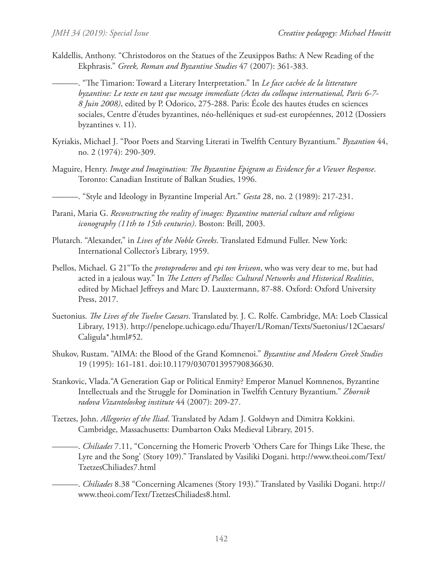- Kaldellis, Anthony. "Christodoros on the Statues of the Zeuxippos Baths: A New Reading of the Ekphrasis." *Greek, Roman and Byzantine Studies* 47 (2007): 361-383.
	- ———. "The Timarion: Toward a Literary Interpretation." In *Le face cachée de la litterature byzantine: Le texte en tant que message immediate (Actes du colloque international, Paris 6-7- 8 Juin 2008)*, edited by P. Odorico, 275-288. Paris: École des hautes études en sciences sociales, Centre d'études byzantines, néo-helléniques et sud-est européennes, 2012 (Dossiers byzantines v. 11).
- Kyriakis, Michael J. "Poor Poets and Starving Literati in Twelfth Century Byzantium." *Byzantion* 44, no. 2 (1974): 290-309.
- Maguire, Henry. *Image and Imagination: The Byzantine Epigram as Evidence for a Viewer Response*. Toronto: Canadian Institute of Balkan Studies, 1996.
- ———. "Style and Ideology in Byzantine Imperial Art." *Gesta* 28, no. 2 (1989): 217-231.
- Parani, Maria G. *Reconstructing the reality of images: Byzantine material culture and religious iconography (11th to 15th centuries)*. Boston: Brill, 2003.
- Plutarch. "Alexander," in *Lives of the Noble Greeks*. Translated Edmund Fuller. New York: International Collector's Library, 1959.
- Psellos, Michael. G 21"To the *protoproderos* and *epi ton kriseon*, who was very dear to me, but had acted in a jealous way." In *The Letters of Psellos: Cultural Networks and Historical Realities*, edited by Michael Jeffreys and Marc D. Lauxtermann, 87-88. Oxford: Oxford University Press, 2017.
- Suetonius. *The Lives of the Twelve Caesars*. Translated by. J. C. Rolfe. Cambridge, MA: Loeb Classical Library, 1913). http://penelope.uchicago.edu/Thayer/L/Roman/Texts/Suetonius/12Caesars/ Caligula\*.html#52.
- Shukov, Rustam. "AIMA: the Blood of the Grand Komnenoi." *Byzantine and Modern Greek Studies* 19 (1995): 161-181. doi:10.1179/030701395790836630.
- Stankovic, Vlada."A Generation Gap or Political Enmity? Emperor Manuel Komnenos, Byzantine Intellectuals and the Struggle for Domination in Twelfth Century Byzantium." *Zbornik radova Vizantoloskog institute* 44 (2007): 209-27.
- Tzetzes, John. *Allegories of the Iliad*. Translated by Adam J. Goldwyn and Dimitra Kokkini. Cambridge, Massachusetts: Dumbarton Oaks Medieval Library, 2015.

———. *Chiliades* 7.11, "Concerning the Homeric Proverb 'Others Care for Things Like These, the Lyre and the Song' (Story 109)." Translated by Vasiliki Dogani. http://www.theoi.com/Text/ TzetzesChiliades7.html

———. *Chiliades* 8.38 "Concerning Alcamenes (Story 193)." Translated by Vasiliki Dogani. http:// www.theoi.com/Text/TzetzesChiliades8.html.